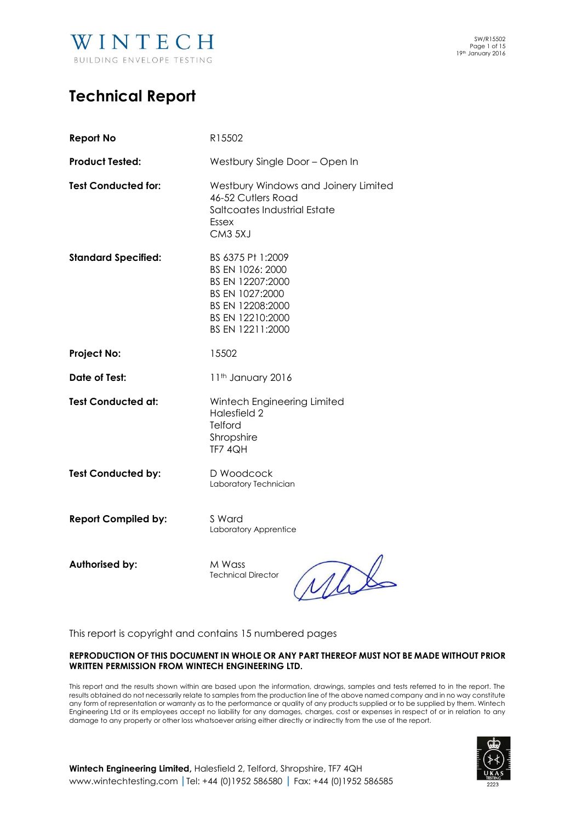

# **Technical Report**

| <b>Report No</b>           | R15502                                                                                                                                   |
|----------------------------|------------------------------------------------------------------------------------------------------------------------------------------|
| <b>Product Tested:</b>     | Westbury Single Door - Open In                                                                                                           |
| <b>Test Conducted for:</b> | Westbury Windows and Joinery Limited<br>46-52 Cutlers Road<br>Saltcoates Industrial Estate<br>Essex<br>CM3 5XJ                           |
| <b>Standard Specified:</b> | BS 6375 Pt 1:2009<br>BS EN 1026: 2000<br>BS EN 12207:2000<br>BS EN 1027:2000<br>BS EN 12208:2000<br>BS EN 12210:2000<br>BS EN 12211:2000 |
| <b>Project No:</b>         | 15502                                                                                                                                    |
| <b>Date of Test:</b>       | 11 <sup>th</sup> January 2016                                                                                                            |
| <b>Test Conducted at:</b>  | Wintech Engineering Limited<br>Halesfield 2<br>Telford<br>Shropshire<br>TF7 4QH                                                          |
|                            |                                                                                                                                          |
| <b>Test Conducted by:</b>  | D Woodcock<br>Laboratory Technician                                                                                                      |
| <b>Report Compiled by:</b> | S Ward<br>Laboratory Apprentice                                                                                                          |

**Authorised by:** M Wass

Technical Director

yal

This report is copyright and contains 15 numbered pages

#### **REPRODUCTION OF THIS DOCUMENT IN WHOLE OR ANY PART THEREOF MUST NOT BE MADE WITHOUT PRIOR WRITTEN PERMISSION FROM WINTECH ENGINEERING LTD.**

This report and the results shown within are based upon the information, drawings, samples and tests referred to in the report. The results obtained do not necessarily relate to samples from the production line of the above named company and in no way constitute any form of representation or warranty as to the performance or quality of any products supplied or to be supplied by them. Wintech Engineering Ltd or its employees accept no liability for any damages, charges, cost or expenses in respect of or in relation to any damage to any property or other loss whatsoever arising either directly or indirectly from the use of the report.



**Wintech Engineering Limited,** Halesfield 2, Telford, Shropshire, TF7 4QH [www.wintechtesting.com](http://www.wintechtesting.com/) **|**Tel: +44 (0)1952 586580 **|** Fax: +44 (0)1952 586585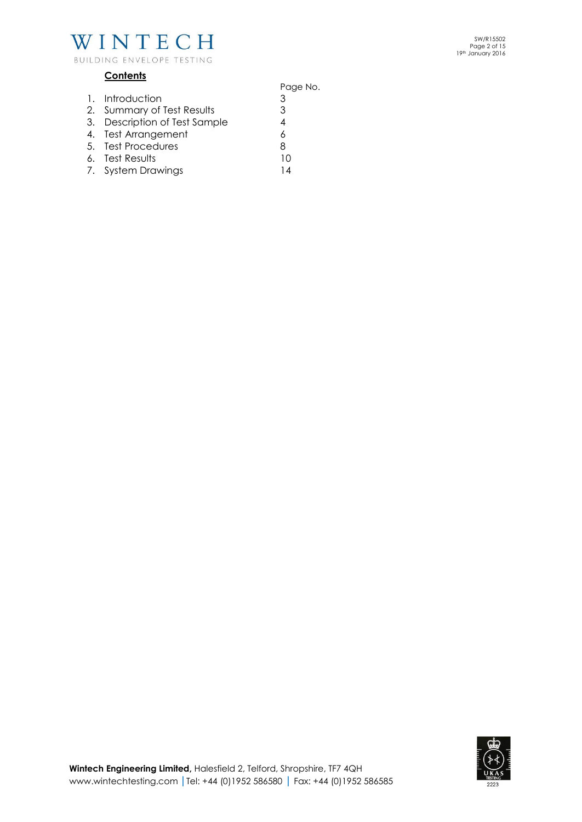

# **Contents**

- Page No. 1. Introduction 3 2. Summary of Test Results 3 3. Description of Test Sample<br>4. Test Arrangement 6 4. Test Arrangement 5. Test Procedures 6. Test Results 10
- 6. Test Results 10
- 7. System Drawings 14

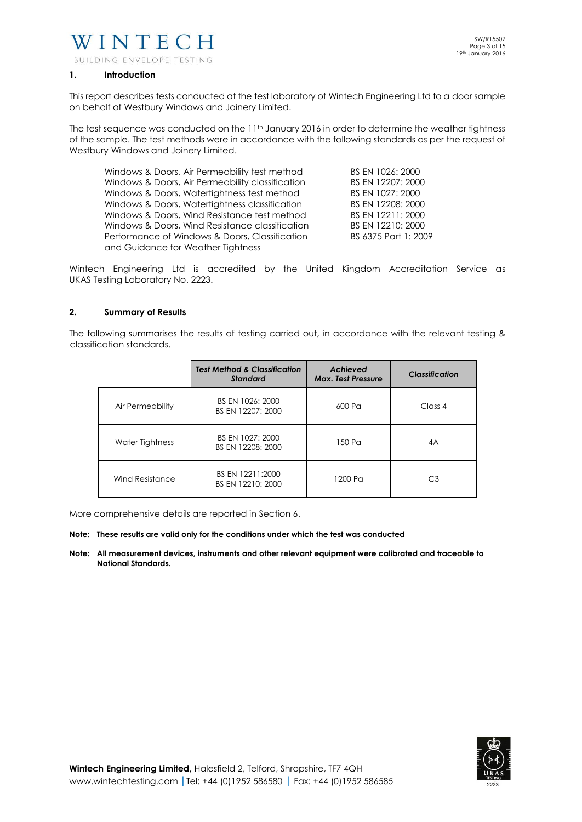

BUILDING ENVELOPE TESTING

#### **1. Introduction**

This report describes tests conducted at the test laboratory of Wintech Engineering Ltd to a door sample on behalf of Westbury Windows and Joinery Limited.

The test sequence was conducted on the 11<sup>th</sup> January 2016 in order to determine the weather tightness of the sample. The test methods were in accordance with the following standards as per the request of Westbury Windows and Joinery Limited.

| Windows & Doors, Air Permeability test method    | BS EN 1026: 2000     |
|--------------------------------------------------|----------------------|
| Windows & Doors, Air Permeability classification | BS EN 12207: 2000    |
| Windows & Doors, Watertightness test method      | BS EN 1027: 2000     |
| Windows & Doors, Watertightness classification   | BS EN 12208: 2000    |
| Windows & Doors, Wind Resistance test method     | BS EN 12211: 2000    |
| Windows & Doors, Wind Resistance classification  | BS EN 12210: 2000    |
| Performance of Windows & Doors, Classification   | BS 6375 Part 1: 2009 |
| and Guidance for Weather Tightness               |                      |

Wintech Engineering Ltd is accredited by the United Kingdom Accreditation Service as UKAS Testing Laboratory No. 2223.

#### **2. Summary of Results**

The following summarises the results of testing carried out, in accordance with the relevant testing & classification standards.

|                  | <b>Test Method &amp; Classification</b><br><b>Standard</b> | Achieved<br><b>Max. Test Pressure</b> | <b>Classification</b> |
|------------------|------------------------------------------------------------|---------------------------------------|-----------------------|
| Air Permeability | BS EN 1026: 2000<br>BS EN 12207: 2000                      | 600 Pa                                | Class 4               |
| Water Tightness  | BS EN 1027: 2000<br>BS EN 12208: 2000                      | 150 Pa                                | 4A                    |
| Wind Resistance  | BS EN 12211:2000<br>BS EN 12210: 2000                      | 1200 Pa                               | CЗ                    |

More comprehensive details are reported in Section 6.

#### **Note: These results are valid only for the conditions under which the test was conducted**

**Note: All measurement devices, instruments and other relevant equipment were calibrated and traceable to National Standards.** 

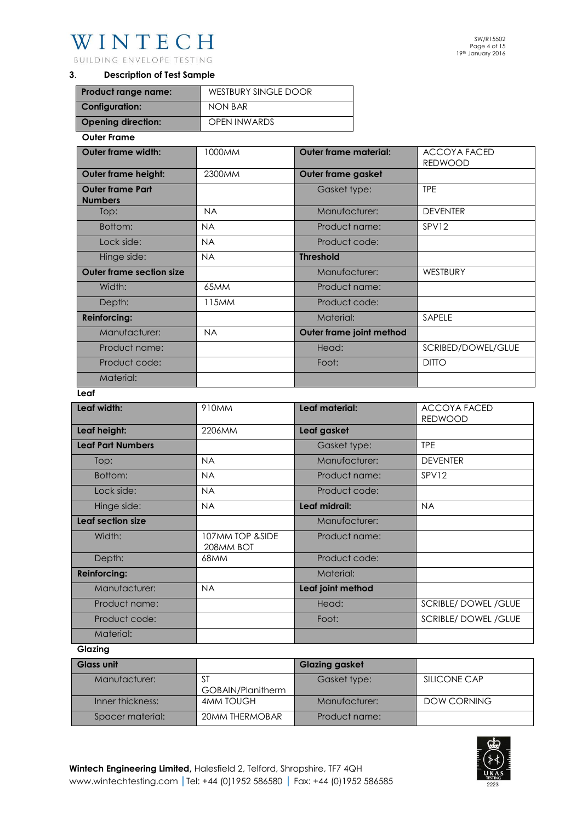BUILDING ENVELOPE TESTING

# **3**. **Description of Test Sample**

| Product range name:       | WESTBURY SINGLE DOOR |
|---------------------------|----------------------|
| <b>Configuration:</b>     | NON BAR              |
| <b>Opening direction:</b> | <b>OPEN INWARDS</b>  |

#### **Outer Frame**

| <b>Outer frame width:</b>                 | 1000MM    | <b>Outer frame material:</b> | <b>ACCOYA FACED</b><br><b>REDWOOD</b> |
|-------------------------------------------|-----------|------------------------------|---------------------------------------|
| <b>Outer frame height:</b>                | 2300MM    | Outer frame gasket           |                                       |
| <b>Outer frame Part</b><br><b>Numbers</b> |           | Gasket type:                 | <b>TPE</b>                            |
| Top:                                      | <b>NA</b> | Manufacturer:                | <b>DEVENTER</b>                       |
| Bottom:                                   | <b>NA</b> | Product name:                | SPV12                                 |
| Lock side:                                | <b>NA</b> | Product code:                |                                       |
| Hinge side:                               | <b>NA</b> | <b>Threshold</b>             |                                       |
| <b>Outer frame section size</b>           |           | Manufacturer:                | <b>WESTBURY</b>                       |
| Width:                                    | 65MM      | Product name:                |                                       |
| Depth:                                    | 115MM     | Product code:                |                                       |
| <b>Reinforcing:</b>                       |           | Material:                    | SAPELE                                |
| Manufacturer:                             | <b>NA</b> | Outer frame joint method     |                                       |
| Product name:                             |           | Head:                        | SCRIBED/DOWEL/GLUE                    |
| Product code:                             |           | Foot:                        | <b>DITTO</b>                          |
| Material:                                 |           |                              |                                       |

#### **Leaf**

| Leaf width:              | 910 <sub>MM</sub>            | Leaf material:    | <b>ACCOYA FACED</b><br><b>REDWOOD</b> |
|--------------------------|------------------------------|-------------------|---------------------------------------|
| Leaf height:             | 2206MM                       | Leaf gasket       |                                       |
| <b>Leaf Part Numbers</b> |                              | Gasket type:      | <b>TPE</b>                            |
| Top:                     | <b>NA</b>                    | Manufacturer:     | <b>DEVENTER</b>                       |
| Bottom:                  | <b>NA</b>                    | Product name:     | SPV12                                 |
| Lock side:               | <b>NA</b>                    | Product code:     |                                       |
| Hinge side:              | <b>NA</b>                    | Leaf midrail:     | <b>NA</b>                             |
| Leaf section size        |                              | Manufacturer:     |                                       |
| Width:                   | 107MM TOP &SIDE<br>208MM BOT | Product name:     |                                       |
| Depth:                   | 68MM                         | Product code:     |                                       |
| <b>Reinforcing:</b>      |                              | Material:         |                                       |
| Manufacturer:            | <b>NA</b>                    | Leaf joint method |                                       |
| Product name:            |                              | Head:             | SCRIBLE/DOWEL/GLUE                    |
| Product code:            |                              | Foot:             | <b>SCRIBLE/DOWEL/GLUE</b>             |
| Material:                |                              |                   |                                       |

#### **Glazing**

| <b>Glass unit</b> |                   | <b>Glazing gasket</b> |              |
|-------------------|-------------------|-----------------------|--------------|
| Manufacturer:     | -S1               | Gasket type:          | SILICONE CAP |
|                   | GOBAIN/Planitherm |                       |              |
| Inner thickness:  | <b>4MM TOUGH</b>  | Manufacturer:         | DOW CORNING  |
| Spacer material:  | 20MM THERMOBAR    | Product name:         |              |

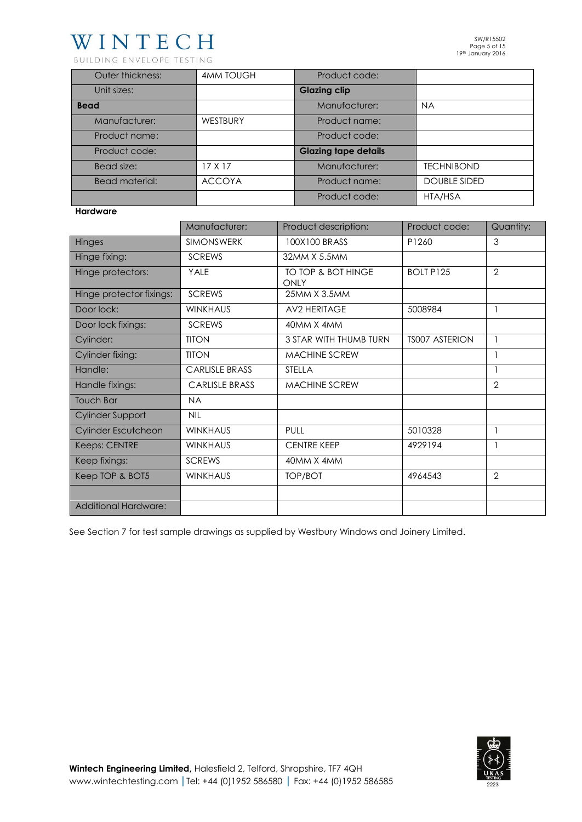BUILDING ENVELOPE TESTING

| Outer thickness:      | <b>4MM TOUGH</b> | Product code:               |                     |
|-----------------------|------------------|-----------------------------|---------------------|
| Unit sizes:           |                  | <b>Glazing clip</b>         |                     |
| <b>Bead</b>           |                  | Manufacturer:               | <b>NA</b>           |
| Manufacturer:         | WESTBURY         | Product name:               |                     |
| Product name:         |                  | Product code:               |                     |
| Product code:         |                  | <b>Glazing tape details</b> |                     |
| Bead size:            | 17 X 17          | Manufacturer:               | <b>TECHNIBOND</b>   |
| <b>Bead material:</b> | <b>ACCOYA</b>    | Product name:               | <b>DOUBLE SIDED</b> |
|                       |                  | Product code:               | HTA/HSA             |

## **Hardware**

|                             | Manufacturer:         | Product description:       | Product code:         | Quantity:      |
|-----------------------------|-----------------------|----------------------------|-----------------------|----------------|
| Hinges                      | <b>SIMONSWERK</b>     | 100X100 BRASS              | P1260                 | 3              |
| Hinge fixing:               | <b>SCREWS</b>         | 32MM X 5.5MM               |                       |                |
| Hinge protectors:           | YALE                  | TO TOP & BOT HINGE<br>ONLY | <b>BOLT P125</b>      | $\overline{2}$ |
| Hinge protector fixings:    | <b>SCREWS</b>         | 25MM X 3.5MM               |                       |                |
| Door lock:                  | <b>WINKHAUS</b>       | <b>AV2 HERITAGE</b>        | 5008984               |                |
| Door lock fixings:          | <b>SCREWS</b>         | 40MM X 4MM                 |                       |                |
| Cylinder:                   | <b>TITON</b>          | 3 STAR WITH THUMB TURN     | <b>TS007 ASTERION</b> |                |
| Cylinder fixing:            | <b>TITON</b>          | <b>MACHINE SCREW</b>       |                       |                |
| Handle:                     | <b>CARLISLE BRASS</b> | <b>STELLA</b>              |                       |                |
| Handle fixings:             | <b>CARLISLE BRASS</b> | <b>MACHINE SCREW</b>       |                       | $\overline{2}$ |
| <b>Touch Bar</b>            | <b>NA</b>             |                            |                       |                |
| Cylinder Support            | <b>NIL</b>            |                            |                       |                |
| Cylinder Escutcheon         | <b>WINKHAUS</b>       | PULL                       | 5010328               |                |
| Keeps: CENTRE               | <b>WINKHAUS</b>       | <b>CENTRE KEEP</b>         | 4929194               |                |
| Keep fixings:               | <b>SCREWS</b>         | 40MM X 4MM                 |                       |                |
| Keep TOP & BOT5             | <b>WINKHAUS</b>       | <b>TOP/BOT</b>             | 4964543               | $\overline{2}$ |
|                             |                       |                            |                       |                |
| <b>Additional Hardware:</b> |                       |                            |                       |                |

See Section 7 for test sample drawings as supplied by Westbury Windows and Joinery Limited.

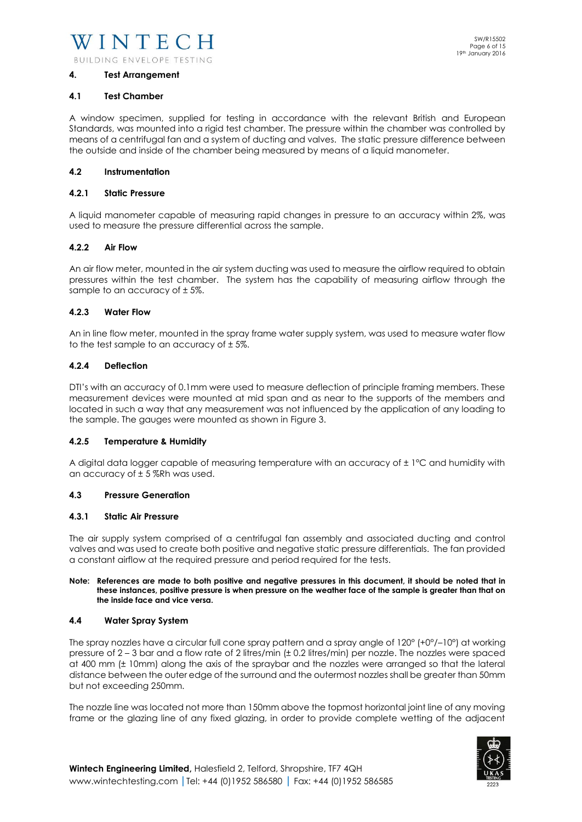#### **4. Test Arrangement**

#### **4.1 Test Chamber**

A window specimen, supplied for testing in accordance with the relevant British and European Standards, was mounted into a rigid test chamber. The pressure within the chamber was controlled by means of a centrifugal fan and a system of ducting and valves. The static pressure difference between the outside and inside of the chamber being measured by means of a liquid manometer.

#### **4.2 Instrumentation**

#### **4.2.1 Static Pressure**

A liquid manometer capable of measuring rapid changes in pressure to an accuracy within 2%, was used to measure the pressure differential across the sample.

#### **4.2.2 Air Flow**

An air flow meter, mounted in the air system ducting was used to measure the airflow required to obtain pressures within the test chamber. The system has the capability of measuring airflow through the sample to an accuracy of ± 5%.

#### **4.2.3 Water Flow**

An in line flow meter, mounted in the spray frame water supply system, was used to measure water flow to the test sample to an accuracy of  $\pm$  5%.

#### **4.2.4 Deflection**

DTI's with an accuracy of 0.1mm were used to measure deflection of principle framing members. These measurement devices were mounted at mid span and as near to the supports of the members and located in such a way that any measurement was not influenced by the application of any loading to the sample. The gauges were mounted as shown in Figure 3.

#### **4.2.5 Temperature & Humidity**

A digital data logger capable of measuring temperature with an accuracy of ± 1°C and humidity with an accuracy of  $\pm$  5 %Rh was used.

#### **4.3 Pressure Generation**

#### **4.3.1 Static Air Pressure**

The air supply system comprised of a centrifugal fan assembly and associated ducting and control valves and was used to create both positive and negative static pressure differentials. The fan provided a constant airflow at the required pressure and period required for the tests.

#### **Note: References are made to both positive and negative pressures in this document, it should be noted that in these instances, positive pressure is when pressure on the weather face of the sample is greater than that on the inside face and vice versa.**

#### **4.4 Water Spray System**

The spray nozzles have a circular full cone spray pattern and a spray angle of 120° (+0°/–10°) at working pressure of 2 – 3 bar and a flow rate of 2 litres/min (± 0.2 litres/min) per nozzle. The nozzles were spaced at 400 mm (± 10mm) along the axis of the spraybar and the nozzles were arranged so that the lateral distance between the outer edge of the surround and the outermost nozzles shall be greater than 50mm but not exceeding 250mm.

The nozzle line was located not more than 150mm above the topmost horizontal joint line of any moving frame or the glazing line of any fixed glazing, in order to provide complete wetting of the adjacent

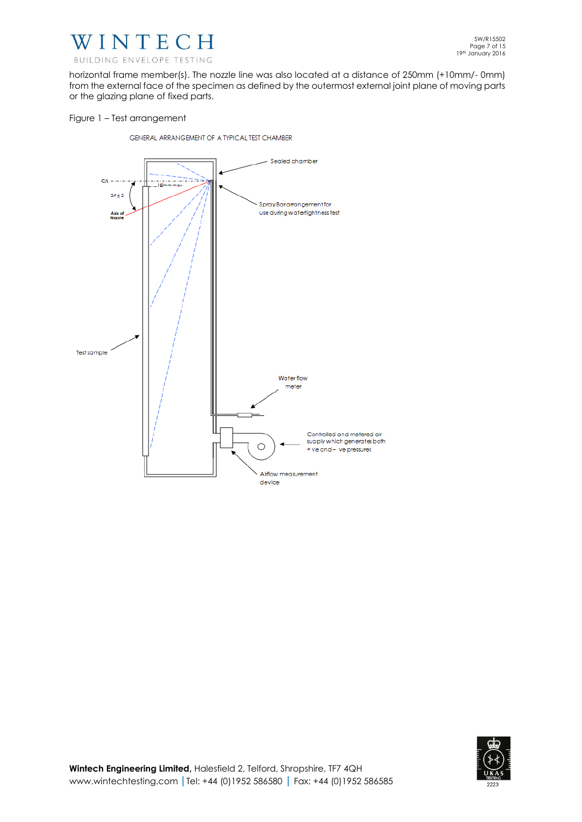

horizontal frame member(s). The nozzle line was also located at a distance of 250mm (+10mm/- 0mm) from the external face of the specimen as defined by the outermost external joint plane of moving parts or the glazing plane of fixed parts.

### Figure 1 – Test arrangement

GENERAL ARRANGEMENT OF A TYPICAL TEST CHAMBER



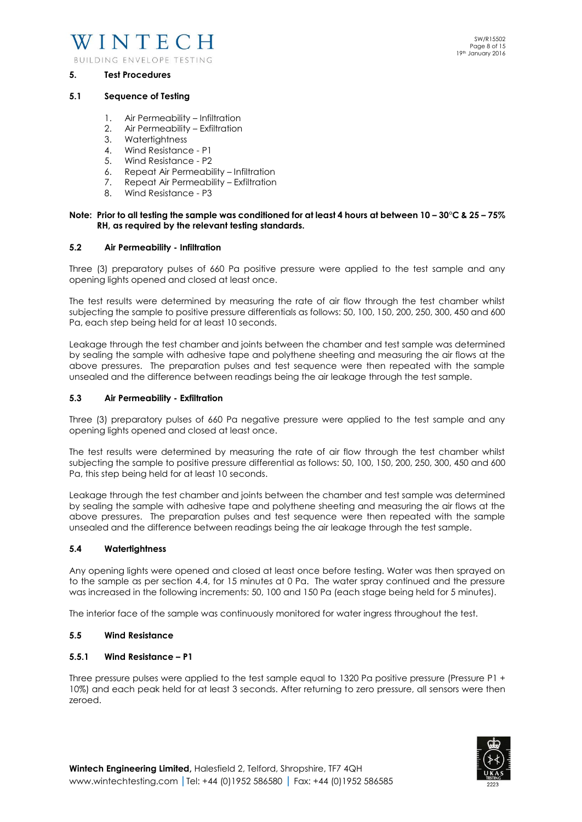

BUILDING ENVELOPE TESTING

#### **5. Test Procedures**

- 1. Air Permeability Infiltration
- 2. Air Permeability Exfiltration
- 3. Watertightness
- 4. Wind Resistance P1
- 5. Wind Resistance P2
- 6. Repeat Air Permeability Infiltration
- 7. Repeat Air Permeability Exfiltration
- 8. Wind Resistance P3

#### **Note: Prior to all testing the sample was conditioned for at least 4 hours at between 10 – 30°C & 25 – 75% RH, as required by the relevant testing standards.**

#### **5.2 Air Permeability - Infiltration**

Three (3) preparatory pulses of 660 Pa positive pressure were applied to the test sample and any opening lights opened and closed at least once.

The test results were determined by measuring the rate of air flow through the test chamber whilst subjecting the sample to positive pressure differentials as follows: 50, 100, 150, 200, 250, 300, 450 and 600 Pa, each step being held for at least 10 seconds.

Leakage through the test chamber and joints between the chamber and test sample was determined by sealing the sample with adhesive tape and polythene sheeting and measuring the air flows at the above pressures. The preparation pulses and test sequence were then repeated with the sample unsealed and the difference between readings being the air leakage through the test sample.

#### **5.3 Air Permeability - Exfiltration**

Three (3) preparatory pulses of 660 Pa negative pressure were applied to the test sample and any opening lights opened and closed at least once.

The test results were determined by measuring the rate of air flow through the test chamber whilst subjecting the sample to positive pressure differential as follows: 50, 100, 150, 200, 250, 300, 450 and 600 Pa, this step being held for at least 10 seconds.

Leakage through the test chamber and joints between the chamber and test sample was determined by sealing the sample with adhesive tape and polythene sheeting and measuring the air flows at the above pressures. The preparation pulses and test sequence were then repeated with the sample unsealed and the difference between readings being the air leakage through the test sample.

#### **5.4 Watertightness**

Any opening lights were opened and closed at least once before testing. Water was then sprayed on to the sample as per section 4.4, for 15 minutes at 0 Pa. The water spray continued and the pressure was increased in the following increments: 50, 100 and 150 Pa (each stage being held for 5 minutes).

The interior face of the sample was continuously monitored for water ingress throughout the test.

#### **5.5 Wind Resistance**

#### **5.5.1 Wind Resistance – P1**

Three pressure pulses were applied to the test sample equal to 1320 Pa positive pressure (Pressure P1 + 10%) and each peak held for at least 3 seconds. After returning to zero pressure, all sensors were then zeroed.



SW/R15502 Page 8 of 15 19th January 2016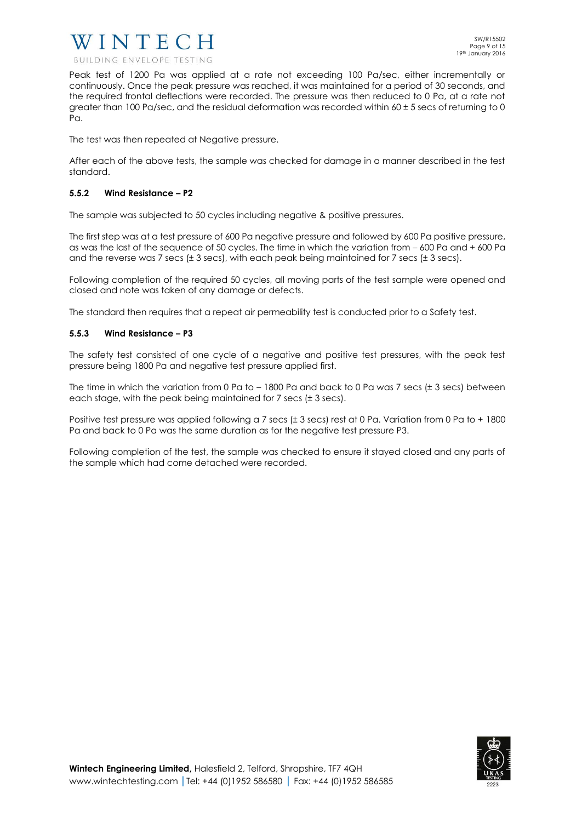

Peak test of 1200 Pa was applied at a rate not exceeding 100 Pa/sec, either incrementally or continuously. Once the peak pressure was reached, it was maintained for a period of 30 seconds, and the required frontal deflections were recorded. The pressure was then reduced to 0 Pa, at a rate not greater than 100 Pa/sec, and the residual deformation was recorded within  $60 \pm 5$  secs of returning to 0 Pa.

The test was then repeated at Negative pressure.

After each of the above tests, the sample was checked for damage in a manner described in the test standard.

# **5.5.2 Wind Resistance – P2**

The sample was subjected to 50 cycles including negative & positive pressures.

The first step was at a test pressure of 600 Pa negative pressure and followed by 600 Pa positive pressure, as was the last of the sequence of 50 cycles. The time in which the variation from – 600 Pa and + 600 Pa and the reverse was 7 secs ( $\pm$  3 secs), with each peak being maintained for 7 secs ( $\pm$  3 secs).

Following completion of the required 50 cycles, all moving parts of the test sample were opened and closed and note was taken of any damage or defects.

The standard then requires that a repeat air permeability test is conducted prior to a Safety test.

# **5.5.3 Wind Resistance – P3**

The safety test consisted of one cycle of a negative and positive test pressures, with the peak test pressure being 1800 Pa and negative test pressure applied first.

The time in which the variation from 0 Pa to  $-1800$  Pa and back to 0 Pa was 7 secs ( $\pm$  3 secs) between each stage, with the peak being maintained for 7 secs (± 3 secs).

Positive test pressure was applied following a 7 secs (± 3 secs) rest at 0 Pa. Variation from 0 Pa to + 1800 Pa and back to 0 Pa was the same duration as for the negative test pressure P3.

Following completion of the test, the sample was checked to ensure it stayed closed and any parts of the sample which had come detached were recorded.

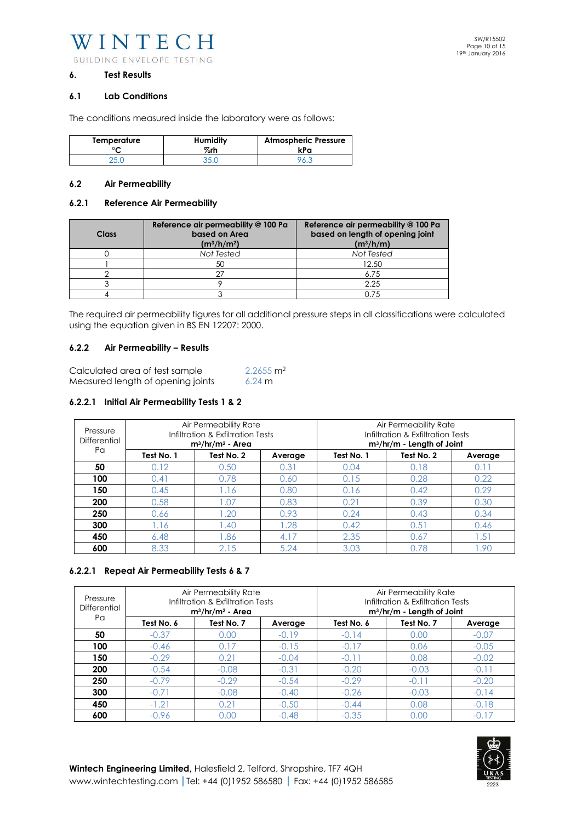WINTECH BUILDING ENVELOPE TESTING

#### **6. Test Results**

#### **6.1 Lab Conditions**

The conditions measured inside the laboratory were as follows:

| Temperature | <b>Humidity</b> | <b>Atmospheric Pressure</b> |
|-------------|-----------------|-----------------------------|
| ∘∼          | %rh             | kPa                         |
|             |                 |                             |

### **6.2 Air Permeability**

#### **6.2.1 Reference Air Permeability**

| <b>Class</b> | Reference air permeability @ 100 Pa<br>based on Area<br>$(m^3/h/m^2)$ | Reference air permeability @ 100 Pa<br>based on length of opening joint<br>$(m^3/h/m)$ |
|--------------|-----------------------------------------------------------------------|----------------------------------------------------------------------------------------|
|              | Not Tested                                                            | Not Tested                                                                             |
|              | 50                                                                    | 12.50                                                                                  |
|              | ヘフ                                                                    | 6.75                                                                                   |
|              |                                                                       | 2.25                                                                                   |
|              |                                                                       | 0.75                                                                                   |

The required air permeability figures for all additional pressure steps in all classifications were calculated using the equation given in BS EN 12207: 2000.

#### **6.2.2 Air Permeability – Results**

| Calculated area of test sample    | $2.2655$ m <sup>2</sup> |
|-----------------------------------|-------------------------|
| Measured length of opening joints | $6.24 \text{ m}$        |

#### **6.2.2.1 Initial Air Permeability Tests 1 & 2**

| Pressure<br>Differential<br>Pa | Air Permeability Rate<br>Infiltration & Exfiltration Tests<br>$m^3/hr/m^2$ - Area |            |         | Air Permeability Rate<br>Infiltration & Exfiltration Tests<br>$m^3/hr/m$ - Length of Joint |            |         |
|--------------------------------|-----------------------------------------------------------------------------------|------------|---------|--------------------------------------------------------------------------------------------|------------|---------|
|                                | Test No. 1                                                                        | Test No. 2 | Average | Test No. 1                                                                                 | Test No. 2 | Average |
| 50                             | 0.12                                                                              | 0.50       | 0.31    | 0.04                                                                                       | 0.18       | 0.11    |
| 100                            | 0.41                                                                              | 0.78       | 0.60    | 0.15                                                                                       | 0.28       | 0.22    |
| 150                            | 0.45                                                                              | 1.16       | 0.80    | 0.16                                                                                       | 0.42       | 0.29    |
| 200                            | 0.58                                                                              | 0.07       | 0.83    | 0.21                                                                                       | 0.39       | 0.30    |
| 250                            | 0.66                                                                              | .20        | 0.93    | 0.24                                                                                       | 0.43       | 0.34    |
| 300                            | .16                                                                               | .40        | .28     | 0.42                                                                                       | 0.51       | 0.46    |
| 450                            | 6.48                                                                              | .86        | 4.17    | 2.35                                                                                       | 0.67       | .51     |
| 600                            | 8.33                                                                              | 2.15       | 5.24    | 3.03                                                                                       | 0.78       | .90     |

# **6.2.2.1 Repeat Air Permeability Tests 6 & 7**

| Pressure<br>Differential | Air Permeability Rate<br>Infiltration & Exfiltration Tests<br>$m^3/hr/m^2$ - Area |            |         | Air Permeability Rate<br>Infiltration & Exfiltration Tests<br>$m^3/hr/m - Length of Joint$ |            |         |
|--------------------------|-----------------------------------------------------------------------------------|------------|---------|--------------------------------------------------------------------------------------------|------------|---------|
| Pα                       | Test No. 6                                                                        | Test No. 7 | Average | Test No. 6                                                                                 | Test No. 7 | Average |
| 50                       | $-0.37$                                                                           | 0.00       | $-0.19$ | $-0.14$                                                                                    | 0.00       | $-0.07$ |
| 100                      | $-0.46$                                                                           | 0.17       | $-0.15$ | $-0.17$                                                                                    | 0.06       | $-0.05$ |
| 150                      | $-0.29$                                                                           | 0.21       | $-0.04$ | $-0.11$                                                                                    | 0.08       | $-0.02$ |
| 200                      | $-0.54$                                                                           | $-0.08$    | $-0.31$ | $-0.20$                                                                                    | $-0.03$    | $-0.11$ |
| 250                      | $-0.79$                                                                           | $-0.29$    | $-0.54$ | $-0.29$                                                                                    | $-0.11$    | $-0.20$ |
| 300                      | $-0.71$                                                                           | $-0.08$    | $-0.40$ | $-0.26$                                                                                    | $-0.03$    | $-0.14$ |
| 450                      | $-1.21$                                                                           | 0.21       | $-0.50$ | $-0.44$                                                                                    | 0.08       | $-0.18$ |
| 600                      | $-0.96$                                                                           | 0.00       | $-0.48$ | $-0.35$                                                                                    | 0.00       | $-0.17$ |

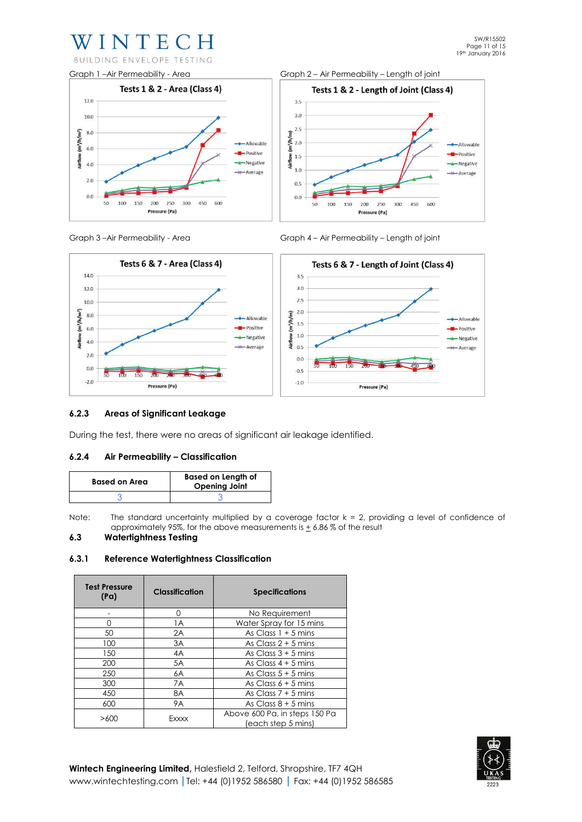# WINTECH BUILDING ENVELOPE TESTING

Graph 1 –Air Permeability - Area Graph 2 – Air Permeability – Length of joint Tests 1 & 2 - Area (Class 4) Tests 1 & 2 - Length of Joint (Class 4)  $12.0$  $3.5$  $3.0$  $100$  $2.5$  $E_{\text{m}}^{2.5}$ <br>= 2.0  $(m<sup>3</sup>/h/m<sup>2</sup>)$  $8.0$ -Allowable -Allowable  $6.0$  $-$ Positive  $\frac{3}{4}$  1.5 -**-**<br>Positive Airflow  $4.0$ -<br>Negative -Negative  $1.0$  $\leftarrow$  Average -Average  $2.0$  $0.5$  $0.0$  $0.0$ 50 100 150 200 250 300 450 600 50 100 150 200 250 300 450 600 Pressure (Pa) Pressure (Pa)



Graph 3 –Air Permeability - Area Graph 4 – Air Permeability – Length of joint



# **6.2.3 Areas of Significant Leakage**

During the test, there were no areas of significant air leakage identified.

# **6.2.4 Air Permeability – Classification**

| <b>Based on Area</b> | <b>Based on Length of</b><br><b>Opening Joint</b> |  |
|----------------------|---------------------------------------------------|--|
|                      |                                                   |  |

Note: The standard uncertainty multiplied by a coverage factor  $k = 2$ , providing a level of confidence of approximately 95%, for the above measurements is  $\pm$  6.86% of the result

#### **6.3 Watertightness Testing**

#### **6.3.1 Reference Watertightness Classification**

| <b>Test Pressure</b><br>(Pa) | <b>Classification</b> | <b>Specifications</b>                               |
|------------------------------|-----------------------|-----------------------------------------------------|
|                              | 0                     | No Requirement                                      |
| ∩                            | 1A                    | Water Spray for 15 mins                             |
| 50                           | 2A                    | As Class $1 + 5$ mins                               |
| 100                          | 3A                    | As Class $2 + 5$ mins                               |
| 150                          | 4A                    | As Class $3 + 5$ mins                               |
| 200                          | 5A                    | As Class $4 + 5$ mins                               |
| 250                          | 6A                    | As Class $5 + 5$ mins                               |
| 300                          | 7A                    | As Class $6 + 5$ mins                               |
| 450                          | 8A                    | As Class $7 + 5$ mins                               |
| 600                          | <b>9A</b>             | As Class $8 + 5$ mins                               |
| Exxxx<br>>600                |                       | Above 600 Pa, in steps 150 Pa<br>(each step 5 mins) |

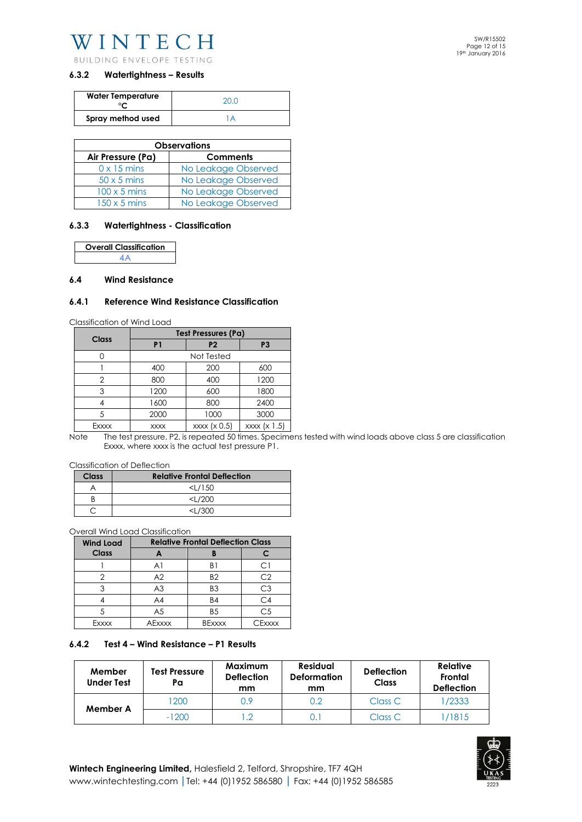BUILDING ENVELOPE TESTING

# **6.3.2 Watertightness – Results**

| <b>Water Temperature</b> | 20 Q |
|--------------------------|------|
| Spray method used        |      |

| <b>Observations</b>                  |                     |  |  |  |
|--------------------------------------|---------------------|--|--|--|
| Air Pressure (Pa)<br><b>Comments</b> |                     |  |  |  |
| $0 \times 15$ mins                   | No Leakage Observed |  |  |  |
| $50 \times 5$ mins                   | No Leakage Observed |  |  |  |
| $100 \times 5$ mins                  | No Leakage Observed |  |  |  |
| $150 \times 5$ mins                  | No Leakage Observed |  |  |  |

#### **6.3.3 Watertightness - Classification**

**Overall Classification**  4A

#### **6.4 Wind Resistance**

#### **6.4.1 Reference Wind Resistance Classification**

Classification of Wind Load

| Class | <b>Test Pressures (Pa)</b> |                |                |  |
|-------|----------------------------|----------------|----------------|--|
|       | P <sub>1</sub>             | P <sub>2</sub> | P <sub>3</sub> |  |
|       | Not Tested                 |                |                |  |
|       | 400                        | 200            | 600            |  |
| 2     | 800                        | 400            | 1200           |  |
| 3     | 1200                       | 600            | 1800           |  |
|       | 1600                       | 800            | 2400           |  |
| 5     | 2000                       | 1000           | 3000           |  |
| Exxxx | <b>XXXX</b>                | xxxx (x 0.5)   | xxxx (x 1.5)   |  |

Note The test pressure, P2, is repeated 50 times. Specimens tested with wind loads above class 5 are classification Exxxx, where xxxx is the actual test pressure P1.

Classification of Deflection

| Class | <b>Relative Frontal Deflection</b> |
|-------|------------------------------------|
|       | $<$ L/150                          |
|       | $<\frac{1}{200}$                   |
|       | <ା /ጓ∩∩                            |

Overall Wind Load Classification

| <b>Wind Load</b> | <b>Relative Frontal Deflection Class</b> |                |                |  |
|------------------|------------------------------------------|----------------|----------------|--|
| <b>Class</b>     |                                          |                |                |  |
|                  | A1                                       | R1             |                |  |
|                  | A2                                       | B <sub>2</sub> | C2             |  |
|                  | A <sub>3</sub>                           | B <sub>3</sub> | CЗ             |  |
|                  | A4                                       | <b>B4</b>      | C <sub>4</sub> |  |
|                  | A <sub>5</sub>                           | B <sub>5</sub> | C <sub>5</sub> |  |
| Exxxx            | <b>AExxxx</b>                            | <b>BExxxx</b>  | CExxxx         |  |

#### **6.4.2 Test 4 – Wind Resistance – P1 Results**

| Member<br><b>Under Test</b> | <b>Test Pressure</b><br>Pa | <b>Maximum</b><br><b>Deflection</b><br>mm | <b>Residual</b><br><b>Deformation</b><br>mm | <b>Deflection</b><br><b>Class</b> | <b>Relative</b><br>Frontal<br><b>Deflection</b> |
|-----------------------------|----------------------------|-------------------------------------------|---------------------------------------------|-----------------------------------|-------------------------------------------------|
| Member A                    | 200                        | 0.9                                       | 0.2                                         | Class C                           | 1/2333                                          |
|                             | $-1200$                    |                                           |                                             | Class C                           | /1815                                           |

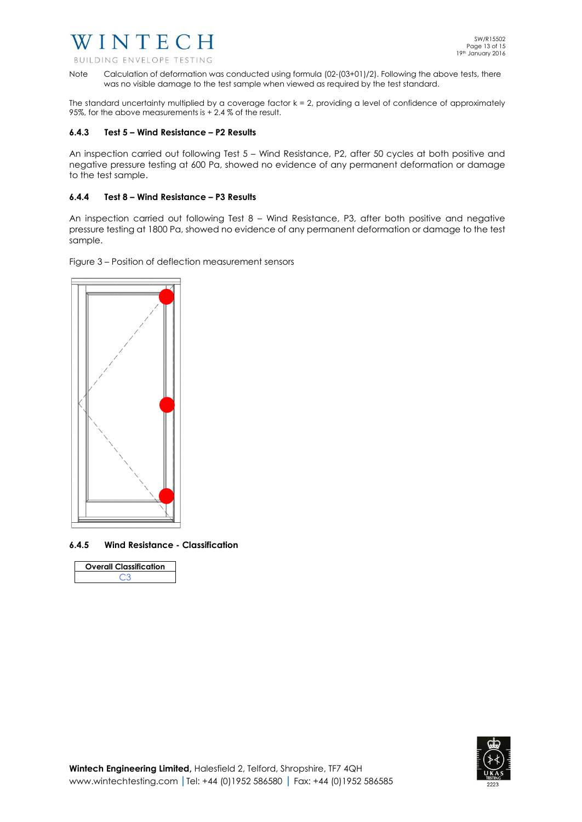BUILDING ENVELOPE TESTING

Note Calculation of deformation was conducted using formula (02-(03+01)/2). Following the above tests, there was no visible damage to the test sample when viewed as required by the test standard.

The standard uncertainty multiplied by a coverage factor  $k = 2$ , providing a level of confidence of approximately 95%, for the above measurements is + 2.4 % of the result.

# **6.4.3 Test 5 – Wind Resistance – P2 Results**

An inspection carried out following Test 5 – Wind Resistance, P2, after 50 cycles at both positive and negative pressure testing at 600 Pa, showed no evidence of any permanent deformation or damage to the test sample.

# **6.4.4 Test 8 – Wind Resistance – P3 Results**

An inspection carried out following Test 8 – Wind Resistance, P3, after both positive and negative pressure testing at 1800 Pa, showed no evidence of any permanent deformation or damage to the test sample.

Figure 3 – Position of deflection measurement sensors



**6.4.5 Wind Resistance - Classification** 

| <b>Overall Classification</b> |  |
|-------------------------------|--|
| د~ م                          |  |

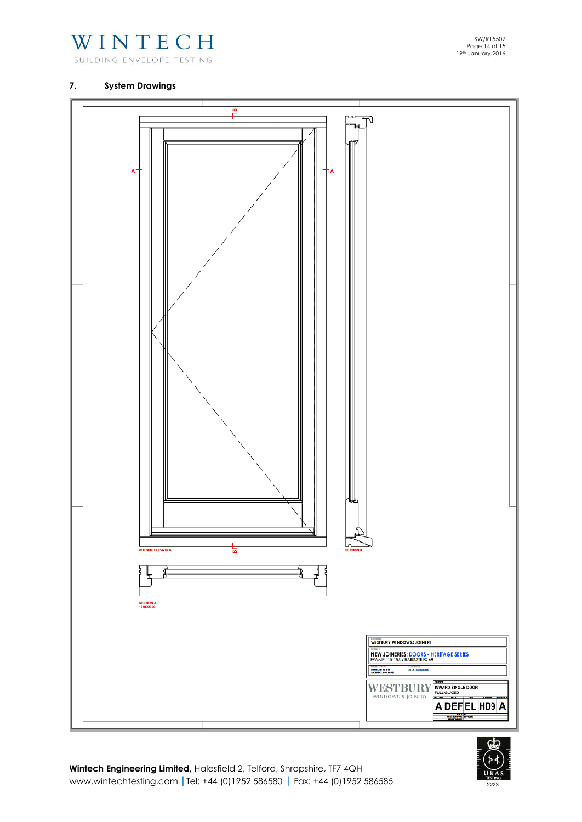

BUILDING ENVELOPE TESTING

# **7. System Drawings**